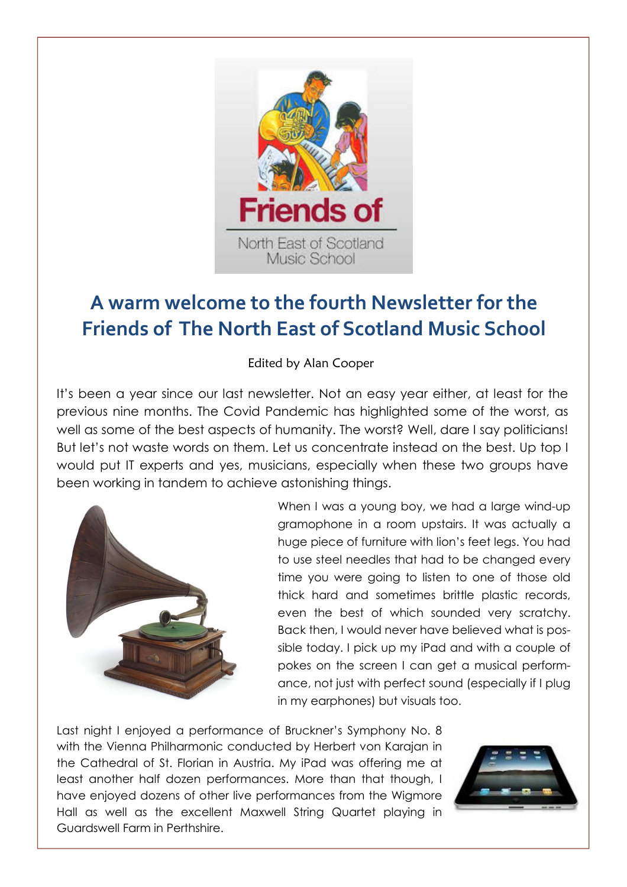

# **A warm welcome to the fourth Newsletter for the Friends of The North East of Scotland Music School**

#### Edited by Alan Cooper

It's been a year since our last newsletter. Not an easy year either, at least for the previous nine months. The Covid Pandemic has highlighted some of the worst, as well as some of the best aspects of humanity. The worst? Well, dare I say politicians! But let's not waste words on them. Let us concentrate instead on the best. Up top I would put IT experts and yes, musicians, especially when these two groups have been working in tandem to achieve astonishing things.



When I was a young boy, we had a large wind-up gramophone in a room upstairs. It was actually a huge piece of furniture with lion's feet legs. You had to use steel needles that had to be changed every time you were going to listen to one of those old thick hard and sometimes brittle plastic records, even the best of which sounded very scratchy. Back then, I would never have believed what is possible today. I pick up my iPad and with a couple of pokes on the screen I can get a musical performance, not just with perfect sound (especially if I plug in my earphones) but visuals too.

Last night I enjoyed a performance of Bruckner's Symphony No. 8 with the Vienna Philharmonic conducted by Herbert von Karajan in the Cathedral of St. Florian in Austria. My iPad was offering me at least another half dozen performances. More than that though, I have enjoyed dozens of other live performances from the Wigmore Hall as well as the excellent Maxwell String Quartet playing in Guardswell Farm in Perthshire.

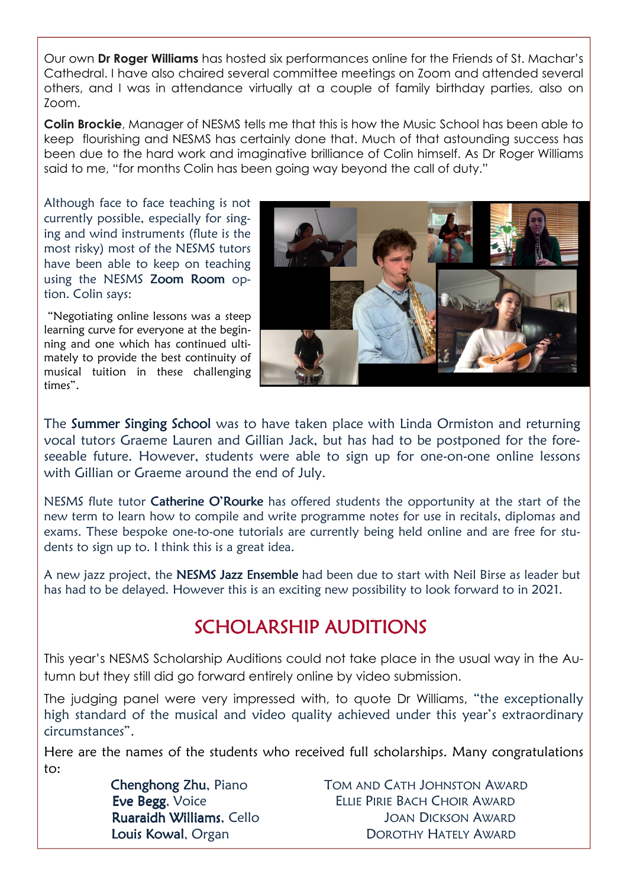Our own **Dr Roger Williams** has hosted six performances online for the Friends of St. Machar's Cathedral. I have also chaired several committee meetings on Zoom and attended several others, and I was in attendance virtually at a couple of family birthday parties, also on Zoom.

**Colin Brockie**, Manager of NESMS tells me that this is how the Music School has been able to keep flourishing and NESMS has certainly done that. Much of that astounding success has been due to the hard work and imaginative brilliance of Colin himself. As Dr Roger Williams said to me, "for months Colin has been going way beyond the call of duty."

Although face to face teaching is not currently possible, especially for singing and wind instruments (flute is the most risky) most of the NESMS tutors have been able to keep on teaching using the NESMS Zoom Room option. Colin says:

"Negotiating online lessons was a steep learning curve for everyone at the beginning and one which has continued ultimately to provide the best continuity of musical tuition in these challenging times".



The Summer Singing School was to have taken place with Linda Ormiston and returning vocal tutors Graeme Lauren and Gillian Jack, but has had to be postponed for the foreseeable future. However, students were able to sign up for one-on-one online lessons with Gillian or Graeme around the end of July.

NESMS flute tutor Catherine O'Rourke has offered students the opportunity at the start of the new term to learn how to compile and write programme notes for use in recitals, diplomas and exams. These bespoke one-to-one tutorials are currently being held online and are free for students to sign up to. I think this is a great idea.

A new jazz project, the NESMS Jazz Ensemble had been due to start with Neil Birse as leader but has had to be delayed. However this is an exciting new possibility to look forward to in 2021.

#### SCHOLARSHIP AUDITIONS

This year's NESMS Scholarship Auditions could not take place in the usual way in the Autumn but they still did go forward entirely online by video submission.

The judging panel were very impressed with, to quote Dr Williams, "the exceptionally high standard of the musical and video quality achieved under this year's extraordinary circumstances".

Here are the names of the students who received full scholarships. Many congratulations to:

Chenghong Zhu, Piano **TOM AND CATH JOHNSTON AWARD** Eve Begg, Voice **ELLIE PIRIE BACH CHOIR AWARD** Ruaraidh Williams, Cello **Williams** JOAN DICKSON AWARD Louis Kowal, Organ **DOROTHY HATELY AWARD**